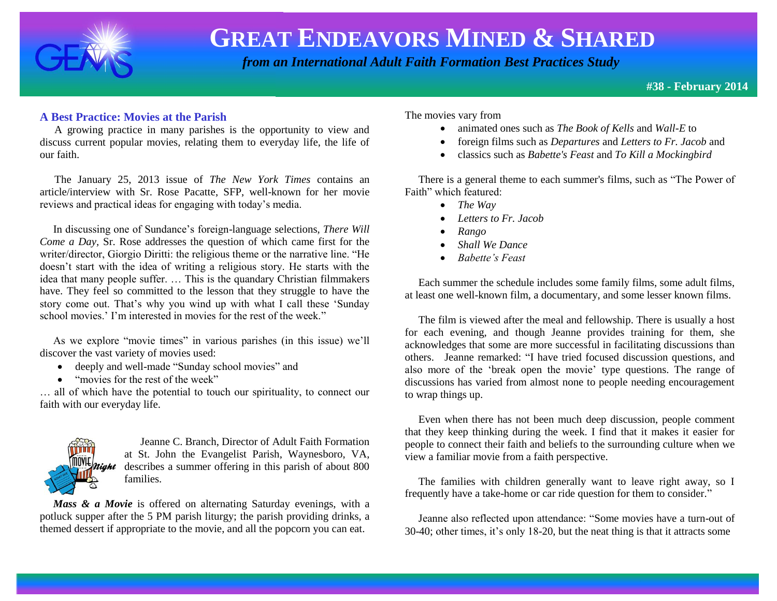

 *from an International Adult Faith Formation Best Practices Study*

**#38 - February 2014**

#### **A Best Practice: Movies at the Parish**

A growing practice in many parishes is the opportunity to view and discuss current popular movies, relating them to everyday life, the life of our faith.

The January 25, 2013 issue of *The New York Times* contains an article/interview with Sr. Rose Pacatte, SFP, well-known for her movie reviews and practical ideas for engaging with today's media.

 In discussing one of Sundance's foreign-language selections, *There Will Come a Day,* Sr. Rose addresses the question of which came first for the writer/director, Giorgio Diritti: the religious theme or the narrative line. "He doesn't start with the idea of writing a religious story. He starts with the idea that many people suffer. … This is the quandary Christian filmmakers have. They feel so committed to the lesson that they struggle to have the story come out. That's why you wind up with what I call these 'Sunday school movies.' I'm interested in movies for the rest of the week."

 As we explore "movie times" in various parishes (in this issue) we'll discover the vast variety of movies used:

- deeply and well-made "Sunday school movies" and
- "movies for the rest of the week"

… all of which have the potential to touch our spirituality, to connect our faith with our everyday life.



 Jeanne C. Branch, Director of Adult Faith Formation at St. John the Evangelist Parish, Waynesboro, VA, describes a summer offering in this parish of about 800 families.

 *Mass & a Movie* is offered on alternating Saturday evenings, with a potluck supper after the 5 PM parish liturgy; the parish providing drinks, a themed dessert if appropriate to the movie, and all the popcorn you can eat.

The movies vary from

- animated ones such as *The Book of Kells* and *Wall-E* to
- foreign films such as *Departures* and *Letters to Fr. Jacob* and
- classics such as *Babette's Feast* and *To Kill a Mockingbird*

 There is a general theme to each summer's films, such as "The Power of Faith" which featured:

- *The Way*
- *Letters to Fr. Jacob*
- *Rango*
- *Shall We Dance*
- *Babette's Feast*

 Each summer the schedule includes some family films, some adult films, at least one well-known film, a documentary, and some lesser known films.

 The film is viewed after the meal and fellowship. There is usually a host for each evening, and though Jeanne provides training for them, she acknowledges that some are more successful in facilitating discussions than others. Jeanne remarked: "I have tried focused discussion questions, and also more of the 'break open the movie' type questions. The range of discussions has varied from almost none to people needing encouragement to wrap things up.

 Even when there has not been much deep discussion, people comment that they keep thinking during the week. I find that it makes it easier for people to connect their faith and beliefs to the surrounding culture when we view a familiar movie from a faith perspective.

 The families with children generally want to leave right away, so I frequently have a take-home or car ride question for them to consider."

 Jeanne also reflected upon attendance: "Some movies have a turn-out of 30-40; other times, it's only 18-20, but the neat thing is that it attracts some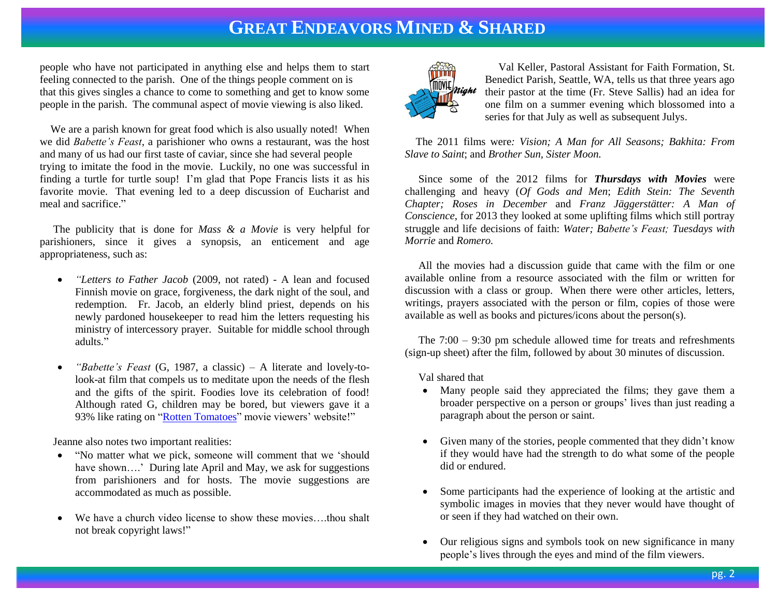people who have not participated in anything else and helps them to start feeling connected to the parish. One of the things people comment on is that this gives singles a chance to come to something and get to know some people in the parish. The communal aspect of movie viewing is also liked.

 We are a parish known for great food which is also usually noted! When we did *Babette's Feast*, a parishioner who owns a restaurant, was the host and many of us had our first taste of caviar, since she had several people trying to imitate the food in the movie. Luckily, no one was successful in finding a turtle for turtle soup! I'm glad that Pope Francis lists it as his favorite movie. That evening led to a deep discussion of Eucharist and meal and sacrifice."

 The publicity that is done for *Mass & a Movie* is very helpful for parishioners, since it gives a synopsis, an enticement and age appropriateness, such as:

- *"Letters to Father Jacob* (2009, not rated) A lean and focused Finnish movie on grace, forgiveness, the dark night of the soul, and redemption. Fr. Jacob, an elderly blind priest, depends on his newly pardoned housekeeper to read him the letters requesting his ministry of intercessory prayer. Suitable for middle school through adults."
- *"Babette's Feast* (G, 1987, a classic) A literate and lovely-tolook-at film that compels us to meditate upon the needs of the flesh and the gifts of the spirit. Foodies love its celebration of food! Although rated G, children may be bored, but viewers gave it a 93% like rating on ["Rotten Tomatoes"](http://www.rottentomatoes.com/) movie viewers' website!"

Jeanne also notes two important realities:

- "No matter what we pick, someone will comment that we 'should have shown....' During late April and May, we ask for suggestions from parishioners and for hosts. The movie suggestions are accommodated as much as possible.
- We have a church video license to show these movies….thou shalt not break copyright laws!"



 Val Keller, Pastoral Assistant for Faith Formation, St. Benedict Parish, Seattle, WA, tells us that three years ago their pastor at the time (Fr. Steve Sallis) had an idea for one film on a summer evening which blossomed into a series for that July as well as subsequent Julys.

 The 2011 films were*: Vision; A Man for All Seasons; Bakhita: From Slave to Saint*; and *Brother Sun, Sister Moon.*

 Since some of the 2012 films for *Thursdays with Movies* were challenging and heavy (*Of Gods and Men*; *Edith Stein: The Seventh Chapter; Roses in December* and *Franz Jäggerstätter: A Man of Conscience*, for 2013 they looked at some uplifting films which still portray struggle and life decisions of faith: *Water; Babette's Feast; Tuesdays with Morrie* and *Romero.*

 All the movies had a discussion guide that came with the film or one available online from a resource associated with the film or written for discussion with a class or group. When there were other articles, letters, writings, prayers associated with the person or film, copies of those were available as well as books and pictures/icons about the person(s).

 The 7:00 – 9:30 pm schedule allowed time for treats and refreshments (sign-up sheet) after the film, followed by about 30 minutes of discussion.

Val shared that

- Many people said they appreciated the films; they gave them a broader perspective on a person or groups' lives than just reading a paragraph about the person or saint.
- Given many of the stories, people commented that they didn't know if they would have had the strength to do what some of the people did or endured.
- Some participants had the experience of looking at the artistic and symbolic images in movies that they never would have thought of or seen if they had watched on their own.
- Our religious signs and symbols took on new significance in many people's lives through the eyes and mind of the film viewers.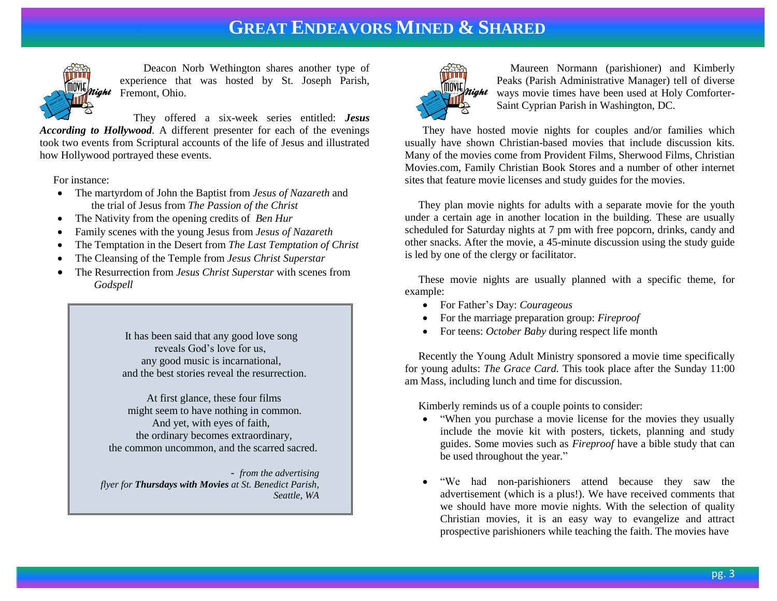

Deacon Norb Wethington shares another type of experience that was hosted by St. Joseph Parish, Fremont, Ohio.

 They offered a six-week series entitled: *Jesus According to Hollywood*. A different presenter for each of the evenings took two events from Scriptural accounts of the life of Jesus and illustrated how Hollywood portrayed these events.

For instance:

- The martyrdom of John the Baptist from *Jesus of Nazareth* and the trial of Jesus from *The Passion of the Christ*
- The Nativity from the opening credits of *Ben Hur*
- Family scenes with the young Jesus from *Jesus of Nazareth*
- The Temptation in the Desert from *The Last Temptation of Christ*
- The Cleansing of the Temple from *Jesus Christ Superstar*
- The Resurrection from *Jesus Christ Superstar* with scenes from *Godspell*

 It has been said that any good love song reveals God's love for us, any good music is incarnational, and the best stories reveal the resurrection.

 At first glance, these four films might seem to have nothing in common. And yet, with eyes of faith, the ordinary becomes extraordinary, the common uncommon, and the scarred sacred.

 - *from the advertising flyer for Thursdays with Movies at St. Benedict Parish, Seattle, WA*



 Maureen Normann (parishioner) and Kimberly Peaks (Parish Administrative Manager) tell of diverse ways movie times have been used at Holy Comforter-Saint Cyprian Parish in Washington, DC.

They have hosted movie nights for couples and/or families which usually have shown Christian-based movies that include discussion kits. Many of the movies come from Provident Films, Sherwood Films, Christian Movies.com, Family Christian Book Stores and a number of other internet sites that feature movie licenses and study guides for the movies.

 They plan movie nights for adults with a separate movie for the youth under a certain age in another location in the building. These are usually scheduled for Saturday nights at 7 pm with free popcorn, drinks, candy and other snacks. After the movie, a 45-minute discussion using the study guide is led by one of the clergy or facilitator.

 These movie nights are usually planned with a specific theme, for example:

- For Father's Day: *Courageous*
- For the marriage preparation group: *Fireproof*
- For teens: *October Baby* during respect life month

 Recently the Young Adult Ministry sponsored a movie time specifically for young adults: *The Grace Card.* This took place after the Sunday 11:00 am Mass, including lunch and time for discussion.

Kimberly reminds us of a couple points to consider:

- "When you purchase a movie license for the movies they usually include the movie kit with posters, tickets, planning and study guides. Some movies such as *Fireproof* have a bible study that can be used throughout the year."
- "We had non-parishioners attend because they saw the advertisement (which is a plus!). We have received comments that we should have more movie nights. With the selection of quality Christian movies, it is an easy way to evangelize and attract prospective parishioners while teaching the faith. The movies have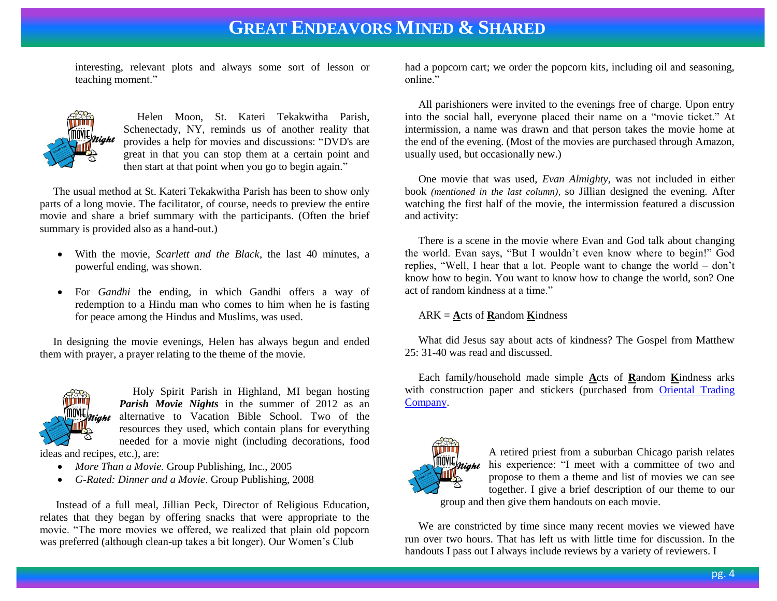interesting, relevant plots and always some sort of lesson or teaching moment."



 Helen Moon, St. Kateri Tekakwitha Parish, Schenectady, NY, reminds us of another reality that provides a help for movies and discussions: "DVD's are great in that you can stop them at a certain point and then start at that point when you go to begin again."

 The usual method at St. Kateri Tekakwitha Parish has been to show only parts of a long movie. The facilitator, of course, needs to preview the entire movie and share a brief summary with the participants. (Often the brief summary is provided also as a hand-out.)

- With the movie, *Scarlett and the Black*, the last 40 minutes, a powerful ending, was shown.
- For *Gandhi* the ending, in which Gandhi offers a way of redemption to a Hindu man who comes to him when he is fasting for peace among the Hindus and Muslims, was used.

 In designing the movie evenings, Helen has always begun and ended them with prayer, a prayer relating to the theme of the movie.



 Holy Spirit Parish in Highland, MI began hosting *Parish Movie Nights* in the summer of 2012 as an alternative to Vacation Bible School. Two of the resources they used, which contain plans for everything needed for a movie night (including decorations, food

ideas and recipes, etc.), are:

- *More Than a Movie.* Group Publishing, Inc., 2005
- *G-Rated: Dinner and a Movie*. Group Publishing, 2008

 Instead of a full meal, Jillian Peck, Director of Religious Education, relates that they began by offering snacks that were appropriate to the movie. "The more movies we offered, we realized that plain old popcorn was preferred (although clean-up takes a bit longer). Our Women's Club

had a popcorn cart; we order the popcorn kits, including oil and seasoning, online"

 All parishioners were invited to the evenings free of charge. Upon entry into the social hall, everyone placed their name on a "movie ticket." At intermission, a name was drawn and that person takes the movie home at the end of the evening. (Most of the movies are purchased through Amazon, usually used, but occasionally new.)

 One movie that was used, *Evan Almighty,* was not included in either book *(mentioned in the last column),* so Jillian designed the evening. After watching the first half of the movie, the intermission featured a discussion and activity:

 There is a scene in the movie where Evan and God talk about changing the world. Evan says, "But I wouldn't even know where to begin!" God replies, "Well, I hear that a lot. People want to change the world – don't know how to begin. You want to know how to change the world, son? One act of random kindness at a time."

#### ARK = **A**cts of **R**andom **K**indness

 What did Jesus say about acts of kindness? The Gospel from Matthew 25: 31-40 was read and discussed.

 Each family/household made simple **A**cts of **R**andom **K**indness arks with construction paper and stickers (purchased from Oriental Trading [Company.](http://www.orientaltrading.com/ui/browse/processRequest.do?requestURI=getHomePageCR&BP=11590&source=msn&ms=brand&cm_mmc=msn-_-%5BADL%5D+%5BBrand%5D+%5BUS%5D+%5BComputers%5D+General+%5BExact%5D-_-Oriental+Trading+Company-_-568c6b727f6b442582027f3323e8ac1e&kwid=568c6b727f6b442582027f3323e8ac1e)



A retired priest from a suburban Chicago parish relates his experience: "I meet with a committee of two and light propose to them a theme and list of movies we can see together. I give a brief description of our theme to our group and then give them handouts on each movie.

 We are constricted by time since many recent movies we viewed have run over two hours. That has left us with little time for discussion. In the handouts I pass out I always include reviews by a variety of reviewers. I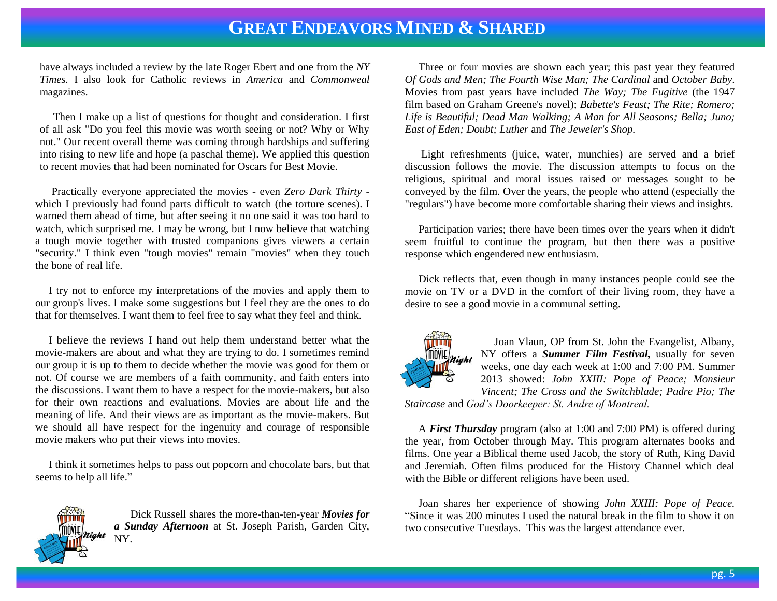have always included a review by the late Roger Ebert and one from the *NY Times.* I also look for Catholic reviews in *America* and *Commonweal* magazines.

 Then I make up a list of questions for thought and consideration. I first of all ask "Do you feel this movie was worth seeing or not? Why or Why not." Our recent overall theme was coming through hardships and suffering into rising to new life and hope (a paschal theme). We applied this question to recent movies that had been nominated for Oscars for Best Movie.

 Practically everyone appreciated the movies - even *Zero Dark Thirty* which I previously had found parts difficult to watch (the torture scenes). I warned them ahead of time, but after seeing it no one said it was too hard to watch, which surprised me. I may be wrong, but I now believe that watching a tough movie together with trusted companions gives viewers a certain "security." I think even "tough movies" remain "movies" when they touch the bone of real life.

 I try not to enforce my interpretations of the movies and apply them to our group's lives. I make some suggestions but I feel they are the ones to do that for themselves. I want them to feel free to say what they feel and think.

 I believe the reviews I hand out help them understand better what the movie-makers are about and what they are trying to do. I sometimes remind our group it is up to them to decide whether the movie was good for them or not. Of course we are members of a faith community, and faith enters into the discussions. I want them to have a respect for the movie-makers, but also for their own reactions and evaluations. Movies are about life and the meaning of life. And their views are as important as the movie-makers. But we should all have respect for the ingenuity and courage of responsible movie makers who put their views into movies.

 I think it sometimes helps to pass out popcorn and chocolate bars, but that seems to help all life."



 Dick Russell shares the more-than-ten-year *Movies for a Sunday Afternoon* at St. Joseph Parish, Garden City, NY.

 Three or four movies are shown each year; this past year they featured *Of Gods and Men; The Fourth Wise Man; The Cardinal* and *October Baby*. Movies from past years have included *The Way; The Fugitive* (the 1947 film based on Graham Greene's novel); *Babette's Feast; The Rite; Romero; Life is Beautiful; Dead Man Walking; A Man for All Seasons; Bella; Juno; East of Eden; Doubt; Luther* and *The Jeweler's Shop.*

 Light refreshments (juice, water, munchies) are served and a brief discussion follows the movie. The discussion attempts to focus on the religious, spiritual and moral issues raised or messages sought to be conveyed by the film. Over the years, the people who attend (especially the "regulars") have become more comfortable sharing their views and insights.

 Participation varies; there have been times over the years when it didn't seem fruitful to continue the program, but then there was a positive response which engendered new enthusiasm.

 Dick reflects that, even though in many instances people could see the movie on TV or a DVD in the comfort of their living room, they have a desire to see a good movie in a communal setting.



 Joan Vlaun, OP from St. John the Evangelist, Albany, NY offers a *Summer Film Festival,* usually for seven weeks, one day each week at 1:00 and 7:00 PM. Summer 2013 showed: *John XXIII: Pope of Peace; Monsieur Vincent; The Cross and the Switchblade; Padre Pio; The* 

*Staircase* and *God's Doorkeeper: St. Andre of Montreal.*

 A *First Thursday* program (also at 1:00 and 7:00 PM) is offered during the year, from October through May. This program alternates books and films. One year a Biblical theme used Jacob, the story of Ruth, King David and Jeremiah. Often films produced for the History Channel which deal with the Bible or different religions have been used.

 Joan shares her experience of showing *John XXIII: Pope of Peace.* "Since it was 200 minutes I used the natural break in the film to show it on two consecutive Tuesdays. This was the largest attendance ever.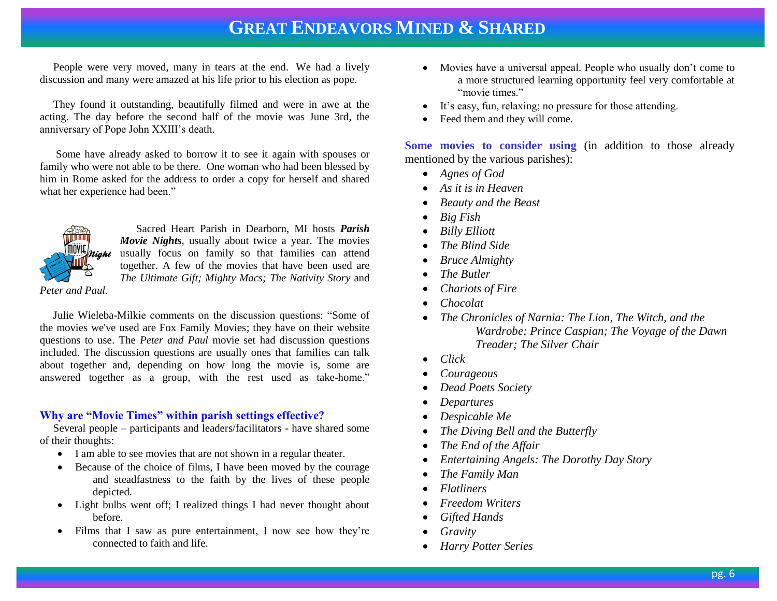People were very moved, many in tears at the end. We had a lively discussion and many were amazed at his life prior to his election as pope.

 They found it outstanding, beautifully filmed and were in awe at the acting. The day before the second half of the movie was June 3rd, the anniversary of Pope John XXIII's death.

 Some have already asked to borrow it to see it again with spouses or family who were not able to be there. One woman who had been blessed by him in Rome asked for the address to order a copy for herself and shared what her experience had been."



 Sacred Heart Parish in Dearborn, MI hosts *Parish Movie Nights*, usually about twice a year. The movies usually focus on family so that families can attend together. A few of the movies that have been used are *The Ultimate Gift; Mighty Macs; The Nativity Story* and

*Peter and Paul.*

 Julie Wieleba-Milkie comments on the discussion questions: "Some of the movies we've used are Fox Family Movies; they have on their website questions to use. The *Peter and Paul* movie set had discussion questions included. The discussion questions are usually ones that families can talk about together and, depending on how long the movie is, some are answered together as a group, with the rest used as take-home."

#### **Why are "Movie Times" within parish settings effective?**

 Several people – participants and leaders/facilitators - have shared some of their thoughts:

- I am able to see movies that are not shown in a regular theater.
- Because of the choice of films, I have been moved by the courage and steadfastness to the faith by the lives of these people depicted.
- Light bulbs went off; I realized things I had never thought about before.
- Films that I saw as pure entertainment, I now see how they're connected to faith and life.
- Movies have a universal appeal. People who usually don't come to a more structured learning opportunity feel very comfortable at "movie times."
- It's easy, fun, relaxing; no pressure for those attending.
- Feed them and they will come.

**Some movies to consider using** (in addition to those already mentioned by the various parishes):

- *Agnes of God*
- *As it is in Heaven*
- *Beauty and the Beast*
- *Big Fish*
- *Billy Elliott*
- *The Blind Side*
- *Bruce Almighty*
- *The Butler*
- *Chariots of Fire*
- *Chocolat*
- *The Chronicles of Narnia: The Lion, The Witch, and the Wardrobe; Prince Caspian; The Voyage of the Dawn Treader; The Silver Chair*
- *Click*
- *Courageous*
- *Dead Poets Society*
- *Departures*
- *Despicable Me*
- *The Diving Bell and the Butterfly*
- *The End of the Affair*
- *Entertaining Angels: The Dorothy Day Story*
- *The Family Man*
- *Flatliners*
- *Freedom Writers*
- *Gifted Hands*
- *Gravity*
- *Harry Potter Series*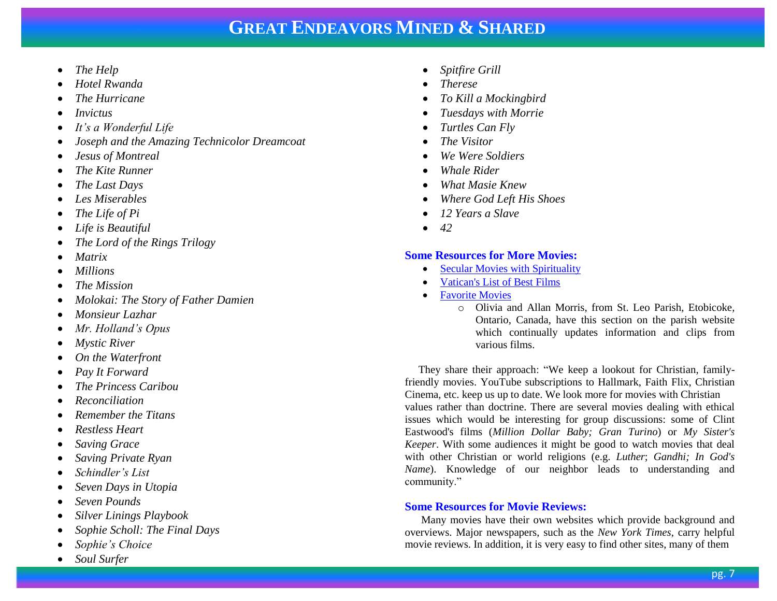- *The Help*
- *Hotel Rwanda*
- *The Hurricane*
- *Invictus*
- *It's a Wonderful Life*
- *Joseph and the Amazing Technicolor Dreamcoat*
- *Jesus of Montreal*
- *The Kite Runner*
- *The Last Days*
- *Les Miserables*
- *The Life of Pi*
- *Life is Beautiful*
- *The Lord of the Rings Trilogy*
- *Matrix*
- *Millions*
- *The Mission*
- *Molokai: The Story of Father Damien*
- *Monsieur Lazhar*
- *Mr. Holland's Opus*
- *Mystic River*
- *On the Waterfront*
- *Pay It Forward*
- *The Princess Caribou*
- *Reconciliation*
- *Remember the Titans*
- *Restless Heart*
- *Saving Grace*
- *Saving Private Ryan*
- *Schindler's List*
- *Seven Days in Utopia*
- *Seven Pounds*
- *Silver Linings Playbook*
- *Sophie Scholl: The Final Days*
- *Sophie's Choice*
- *Soul Surfer*
- *Spitfire Grill*
- *Therese*
- *To Kill a Mockingbird*
- *Tuesdays with Morrie*
- *Turtles Can Fly*
- *The Visitor*
- *We Were Soldiers*
- *Whale Rider*
- *What Masie Knew*
- *Where God Left His Shoes*
- *12 Years a Slave*
- *42*

### **Some Resources for More Movies:**

- [Secular Movies with Spirituality](http://us1.campaign-archive2.com/?u=c35449f21123d7063f67c9666&id=59a40bc654&e=88a4288970)
- [Vatican's List of Best Films](http://old.usccb.org/movies/vaticanfilms.shtml)
- [Favorite Movies](http://saintleosmimico.ca/deacon-alans-corner/favorite-movies/)
	- o Olivia and Allan Morris, from St. Leo Parish, Etobicoke, Ontario, Canada, have this section on the parish website which continually updates information and clips from various films.

 They share their approach: "We keep a lookout for Christian, familyfriendly movies. YouTube subscriptions to Hallmark, Faith Flix, Christian Cinema, etc. keep us up to date. We look more for movies with Christian values rather than doctrine. There are several movies dealing with ethical issues which would be interesting for group discussions: some of Clint Eastwood's films (*Million Dollar Baby; Gran Turino*) or *My Sister's Keeper*. With some audiences it might be good to watch movies that deal with other Christian or world religions (e.g. *Luther*; *Gandhi; In God's Name*). Knowledge of our neighbor leads to understanding and community."

#### **Some Resources for Movie Reviews:**

 Many movies have their own websites which provide background and overviews. Major newspapers, such as the *New York Times*, carry helpful movie reviews. In addition, it is very easy to find other sites, many of them